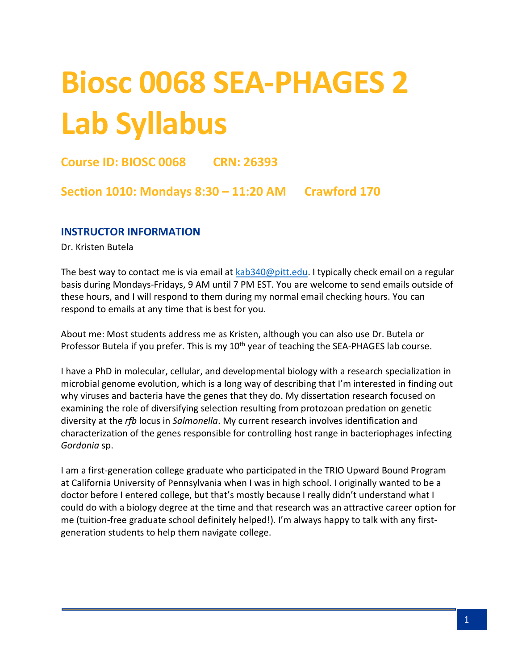# **Biosc 0068 SEA-PHAGES 2 Lab Syllabus**

# **Course ID: BIOSC 0068 CRN: 26393**

## **Section 1010: Mondays 8:30 – 11:20 AM Crawford 170**

#### **INSTRUCTOR INFORMATION**

Dr. Kristen Butela

The best way to contact me is via email at [kab340@pitt.edu.](mailto:kab340@pitt.edu) I typically check email on a regular basis during Mondays-Fridays, 9 AM until 7 PM EST. You are welcome to send emails outside of these hours, and I will respond to them during my normal email checking hours. You can respond to emails at any time that is best for you.

About me: Most students address me as Kristen, although you can also use Dr. Butela or Professor Butela if you prefer. This is my 10<sup>th</sup> year of teaching the SEA-PHAGES lab course.

I have a PhD in molecular, cellular, and developmental biology with a research specialization in microbial genome evolution, which is a long way of describing that I'm interested in finding out why viruses and bacteria have the genes that they do. My dissertation research focused on examining the role of diversifying selection resulting from protozoan predation on genetic diversity at the *rfb* locus in *Salmonella*. My current research involves identification and characterization of the genes responsible for controlling host range in bacteriophages infecting *Gordonia* sp.

I am a first-generation college graduate who participated in the TRIO Upward Bound Program at California University of Pennsylvania when I was in high school. I originally wanted to be a doctor before I entered college, but that's mostly because I really didn't understand what I could do with a biology degree at the time and that research was an attractive career option for me (tuition-free graduate school definitely helped!). I'm always happy to talk with any firstgeneration students to help them navigate college.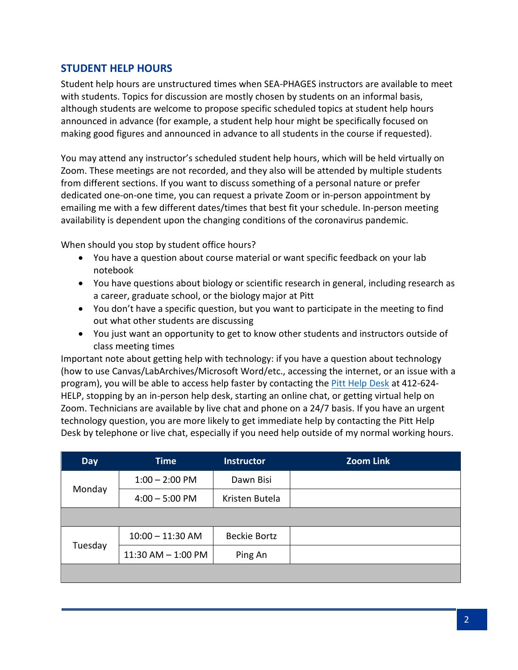## **STUDENT HELP HOURS**

Student help hours are unstructured times when SEA-PHAGES instructors are available to meet with students. Topics for discussion are mostly chosen by students on an informal basis, although students are welcome to propose specific scheduled topics at student help hours announced in advance (for example, a student help hour might be specifically focused on making good figures and announced in advance to all students in the course if requested).

You may attend any instructor's scheduled student help hours, which will be held virtually on Zoom. These meetings are not recorded, and they also will be attended by multiple students from different sections. If you want to discuss something of a personal nature or prefer dedicated one-on-one time, you can request a private Zoom or in-person appointment by emailing me with a few different dates/times that best fit your schedule. In-person meeting availability is dependent upon the changing conditions of the coronavirus pandemic.

When should you stop by student office hours?

- You have a question about course material or want specific feedback on your lab notebook
- You have questions about biology or scientific research in general, including research as a career, graduate school, or the biology major at Pitt
- You don't have a specific question, but you want to participate in the meeting to find out what other students are discussing
- You just want an opportunity to get to know other students and instructors outside of class meeting times

Important note about getting help with technology: if you have a question about technology (how to use Canvas/LabArchives/Microsoft Word/etc., accessing the internet, or an issue with a program), you will be able to access help faster by contacting th[e Pitt Help Desk](https://www.technology.pitt.edu/247-it-help-desk) at 412-624- HELP, stopping by an in-person help desk, starting an online chat, or getting virtual help on Zoom. Technicians are available by live chat and phone on a 24/7 basis. If you have an urgent technology question, you are more likely to get immediate help by contacting the Pitt Help Desk by telephone or live chat, especially if you need help outside of my normal working hours.

| <b>Day</b> | <b>Time</b>            | <b>Instructor</b>   | <b>Zoom Link</b> |
|------------|------------------------|---------------------|------------------|
|            | $1:00 - 2:00$ PM       | Dawn Bisi           |                  |
| Monday     | $4:00 - 5:00$ PM       | Kristen Butela      |                  |
|            |                        |                     |                  |
|            | $10:00 - 11:30$ AM     | <b>Beckie Bortz</b> |                  |
| Tuesday    | $11:30$ AM $- 1:00$ PM | Ping An             |                  |
|            |                        |                     |                  |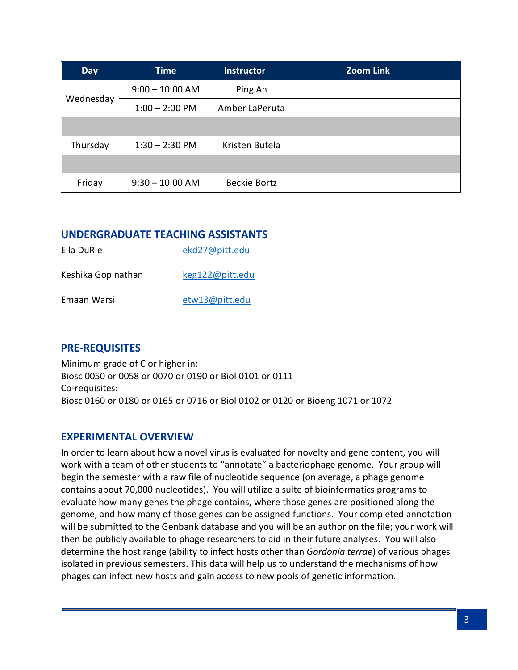| <b>Day</b> | <b>Time</b>       | <b>Instructor</b>   | <b>Zoom Link</b> |
|------------|-------------------|---------------------|------------------|
|            | $9:00 - 10:00$ AM | Ping An             |                  |
| Wednesday  | $1:00 - 2:00$ PM  | Amber LaPeruta      |                  |
|            |                   |                     |                  |
| Thursday   | $1:30 - 2:30$ PM  | Kristen Butela      |                  |
|            |                   |                     |                  |
| Friday     | $9:30 - 10:00$ AM | <b>Beckie Bortz</b> |                  |

#### **UNDERGRADUATE TEACHING ASSISTANTS**

| Ella DuRie         | ekd27@pitt.edu  |
|--------------------|-----------------|
| Keshika Gopinathan | keg122@pitt.edu |
| Emaan Warsi        | etw13@pitt.edu  |

## **PRE-REQUISITES**

Minimum grade of C or higher in: Biosc 0050 or 0058 or 0070 or 0190 or Biol 0101 or 0111 Co-requisites: Biosc 0160 or 0180 or 0165 or 0716 or Biol 0102 or 0120 or Bioeng 1071 or 1072

## **EXPERIMENTAL OVERVIEW**

In order to learn about how a novel virus is evaluated for novelty and gene content, you will work with a team of other students to "annotate" a bacteriophage genome. Your group will begin the semester with a raw file of nucleotide sequence (on average, a phage genome contains about 70,000 nucleotides). You will utilize a suite of bioinformatics programs to evaluate how many genes the phage contains, where those genes are positioned along the genome, and how many of those genes can be assigned functions. Your completed annotation will be submitted to the Genbank database and you will be an author on the file; your work will then be publicly available to phage researchers to aid in their future analyses. You will also determine the host range (ability to infect hosts other than *Gordonia terrae*) of various phages isolated in previous semesters. This data will help us to understand the mechanisms of how phages can infect new hosts and gain access to new pools of genetic information.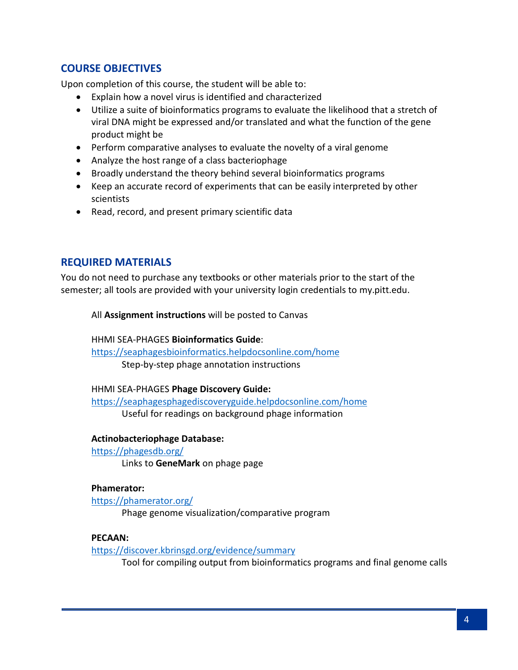## **COURSE OBJECTIVES**

Upon completion of this course, the student will be able to:

- Explain how a novel virus is identified and characterized
- Utilize a suite of bioinformatics programs to evaluate the likelihood that a stretch of viral DNA might be expressed and/or translated and what the function of the gene product might be
- Perform comparative analyses to evaluate the novelty of a viral genome
- Analyze the host range of a class bacteriophage
- Broadly understand the theory behind several bioinformatics programs
- Keep an accurate record of experiments that can be easily interpreted by other scientists
- Read, record, and present primary scientific data

## **REQUIRED MATERIALS**

You do not need to purchase any textbooks or other materials prior to the start of the semester; all tools are provided with your university login credentials to my.pitt.edu.

All **Assignment instructions** will be posted to Canvas

HHMI SEA-PHAGES **Bioinformatics Guide**: <https://seaphagesbioinformatics.helpdocsonline.com/home> Step-by-step phage annotation instructions

#### HHMI SEA-PHAGES **Phage Discovery Guide:**

<https://seaphagesphagediscoveryguide.helpdocsonline.com/home> Useful for readings on background phage information

**Actinobacteriophage Database:**

<https://phagesdb.org/> Links to **GeneMark** on phage page

#### **Phamerator:**

<https://phamerator.org/> Phage genome visualization/comparative program

#### **PECAAN:**

<https://discover.kbrinsgd.org/evidence/summary>

Tool for compiling output from bioinformatics programs and final genome calls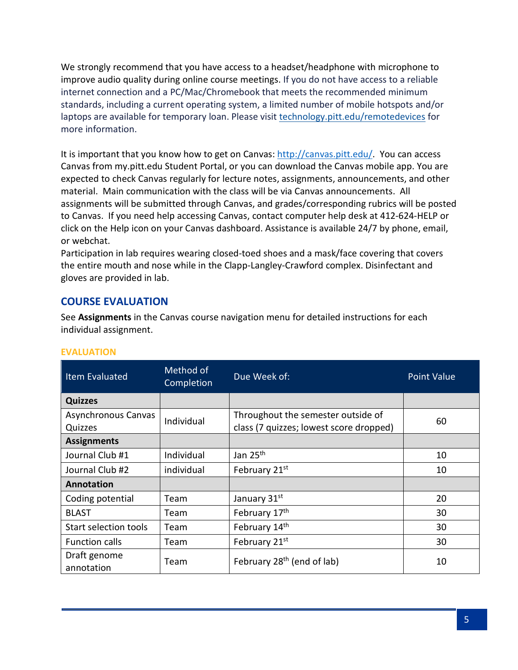We strongly recommend that you have access to a headset/headphone with microphone to improve audio quality during online course meetings. If you do not have access to a reliable internet connection and a PC/Mac/Chromebook that meets the recommended minimum standards, including a current operating system, a limited number of mobile hotspots and/or laptops are available for temporary loan. Please visit [technology.pitt.edu/remotedevices](https://nam05.safelinks.protection.outlook.com/?url=https%3A%2F%2Funiversitycommunications-marketing.cmail19.com%2Ft%2Fj-l-qkljduy-irlkhtjhlh-k%2F&data=02%7C01%7CKAB340%40pitt.edu%7C600dd5da214f4ab6041108d83d532a78%7C9ef9f489e0a04eeb87cc3a526112fd0d%7C1%7C0%7C637326774685631777&sdata=3QeUGq4PtDGZfSK1Z8NyLz0C5H26GKNoFkuDDWG1qAs%3D&reserved=0) for more information.

It is important that you know how to get on Canvas: [http://canvas.pitt.edu/.](http://canvas.pitt.edu/) You can access Canvas from my.pitt.edu Student Portal, or you can download the Canvas mobile app. You are expected to check Canvas regularly for lecture notes, assignments, announcements, and other material. Main communication with the class will be via Canvas announcements. All assignments will be submitted through Canvas, and grades/corresponding rubrics will be posted to Canvas. If you need help accessing Canvas, contact computer help desk at 412-624-HELP or click on the Help icon on your Canvas dashboard. Assistance is available 24/7 by phone, email, or webchat.

Participation in lab requires wearing closed-toed shoes and a mask/face covering that covers the entire mouth and nose while in the Clapp-Langley-Crawford complex. Disinfectant and gloves are provided in lab.

## **COURSE EVALUATION**

See **Assignments** in the Canvas course navigation menu for detailed instructions for each individual assignment.

#### **EVALUATION**

| <b>Item Evaluated</b>          | Method of<br>Completion | Due Week of:                                                                  | <b>Point Value</b> |
|--------------------------------|-------------------------|-------------------------------------------------------------------------------|--------------------|
| <b>Quizzes</b>                 |                         |                                                                               |                    |
| Asynchronous Canvas<br>Quizzes | Individual              | Throughout the semester outside of<br>class (7 quizzes; lowest score dropped) | 60                 |
| <b>Assignments</b>             |                         |                                                                               |                    |
| Journal Club #1                | Individual              | Jan 25 <sup>th</sup>                                                          | 10                 |
| Journal Club #2                | individual              | February 21st                                                                 | 10                 |
| Annotation                     |                         |                                                                               |                    |
| Coding potential               | Team                    | January 31st                                                                  | 20                 |
| <b>BLAST</b>                   | Team                    | February 17th                                                                 | 30                 |
| Start selection tools          | Team                    | February 14th                                                                 | 30                 |
| Function calls                 | Team                    | February 21st                                                                 | 30                 |
| Draft genome<br>annotation     | Team                    | February 28 <sup>th</sup> (end of lab)                                        | 10                 |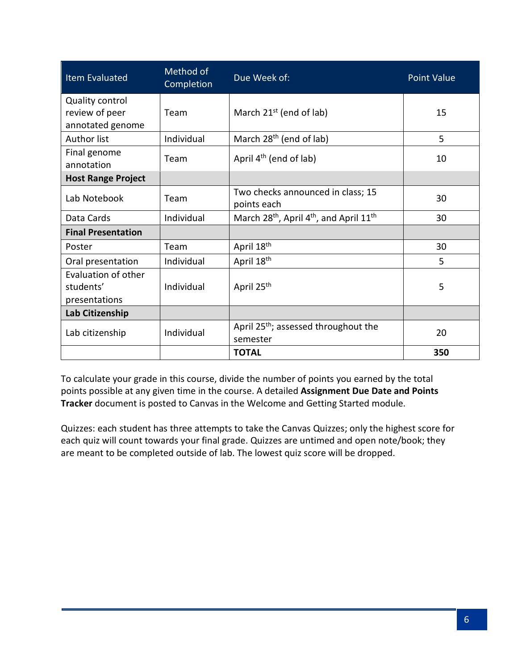| <b>Item Evaluated</b>            | Method of<br>Completion | Due Week of:                                                                | <b>Point Value</b> |
|----------------------------------|-------------------------|-----------------------------------------------------------------------------|--------------------|
| Quality control                  |                         |                                                                             |                    |
| review of peer                   | Team                    | March $21^{st}$ (end of lab)                                                | 15                 |
| annotated genome                 |                         |                                                                             |                    |
| <b>Author list</b>               | Individual              | March 28 <sup>th</sup> (end of lab)                                         | 5                  |
| Final genome<br>annotation       | Team                    | April $4th$ (end of lab)                                                    | 10                 |
| <b>Host Range Project</b>        |                         |                                                                             |                    |
| Lab Notebook                     | Team                    | Two checks announced in class; 15<br>points each                            | 30                 |
| Data Cards                       | Individual              | March 28 <sup>th</sup> , April 4 <sup>th</sup> , and April 11 <sup>th</sup> | 30                 |
| <b>Final Presentation</b>        |                         |                                                                             |                    |
| Poster                           | Team                    | April 18th                                                                  | 30                 |
| Oral presentation                | Individual              | April 18 <sup>th</sup>                                                      | 5                  |
| Evaluation of other<br>students' | Individual              | April 25 <sup>th</sup>                                                      | 5                  |
| presentations                    |                         |                                                                             |                    |
| Lab Citizenship                  |                         |                                                                             |                    |
| Lab citizenship                  | Individual              | April 25 <sup>th</sup> ; assessed throughout the<br>semester                | 20                 |
|                                  |                         | <b>TOTAL</b>                                                                | 350                |

To calculate your grade in this course, divide the number of points you earned by the total points possible at any given time in the course. A detailed **Assignment Due Date and Points Tracker** document is posted to Canvas in the Welcome and Getting Started module.

Quizzes: each student has three attempts to take the Canvas Quizzes; only the highest score for each quiz will count towards your final grade. Quizzes are untimed and open note/book; they are meant to be completed outside of lab. The lowest quiz score will be dropped.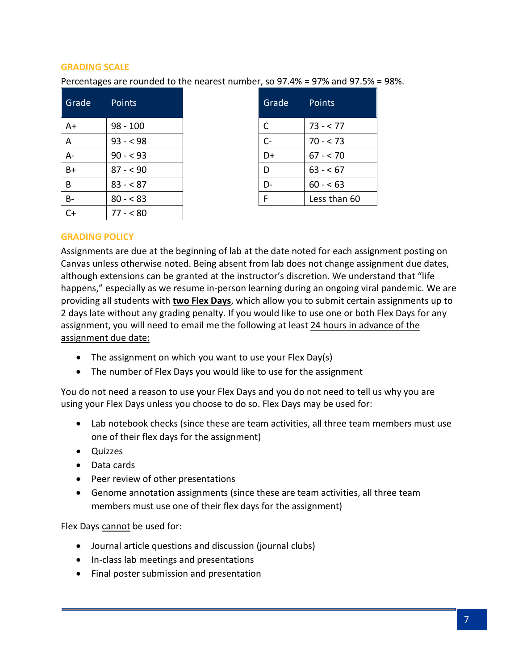#### **GRADING SCALE**

Percentages are rounded to the nearest number, so 97.4% = 97% and 97.5% = 98%.

| Grade     | <b>Points</b> | Grade | Points       |
|-----------|---------------|-------|--------------|
| $A+$      | $98 - 100$    | C     | $73 - 77$    |
| A         | $93 - 98$     | $C -$ | $70 - 573$   |
| $A -$     | $90 - 93$     | D+    | $67 - 70$    |
| $B+$      | $87 - 90$     | D     | $63 - 67$    |
| B         | $83 - 87$     | D-    | $60 - 63$    |
| <b>B-</b> | $80 - 83$     | F     | Less than 60 |
| $C+$      | $77 - 580$    |       |              |

| Grade | Points       |
|-------|--------------|
| С     | $73 - 77$    |
| $C -$ | $70 - 573$   |
| D+    | $67 - 570$   |
| D     | $63 - 67$    |
| D     | $60 - 63$    |
| F     | Less than 60 |

#### **GRADING POLICY**

Assignments are due at the beginning of lab at the date noted for each assignment posting on Canvas unless otherwise noted. Being absent from lab does not change assignment due dates, although extensions can be granted at the instructor's discretion. We understand that "life happens," especially as we resume in-person learning during an ongoing viral pandemic. We are providing all students with **two Flex Days**, which allow you to submit certain assignments up to 2 days late without any grading penalty. If you would like to use one or both Flex Days for any assignment, you will need to email me the following at least 24 hours in advance of the assignment due date:

- The assignment on which you want to use your Flex Day(s)
- The number of Flex Days you would like to use for the assignment

You do not need a reason to use your Flex Days and you do not need to tell us why you are using your Flex Days unless you choose to do so. Flex Days may be used for:

- Lab notebook checks (since these are team activities, all three team members must use one of their flex days for the assignment)
- Quizzes
- Data cards
- Peer review of other presentations
- Genome annotation assignments (since these are team activities, all three team members must use one of their flex days for the assignment)

Flex Days cannot be used for:

- Journal article questions and discussion (journal clubs)
- In-class lab meetings and presentations
- Final poster submission and presentation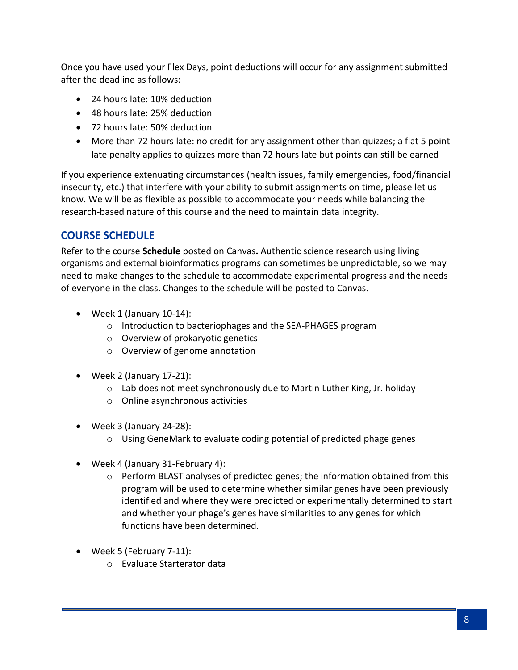Once you have used your Flex Days, point deductions will occur for any assignment submitted after the deadline as follows:

- 24 hours late: 10% deduction
- 48 hours late: 25% deduction
- 72 hours late: 50% deduction
- More than 72 hours late: no credit for any assignment other than quizzes; a flat 5 point late penalty applies to quizzes more than 72 hours late but points can still be earned

If you experience extenuating circumstances (health issues, family emergencies, food/financial insecurity, etc.) that interfere with your ability to submit assignments on time, please let us know. We will be as flexible as possible to accommodate your needs while balancing the research-based nature of this course and the need to maintain data integrity.

# **COURSE SCHEDULE**

Refer to the course **Schedule** posted on Canvas**.** Authentic science research using living organisms and external bioinformatics programs can sometimes be unpredictable, so we may need to make changes to the schedule to accommodate experimental progress and the needs of everyone in the class. Changes to the schedule will be posted to Canvas.

- Week 1 (January 10-14):
	- o Introduction to bacteriophages and the SEA-PHAGES program
	- o Overview of prokaryotic genetics
	- o Overview of genome annotation
- Week 2 (January 17-21):
	- o Lab does not meet synchronously due to Martin Luther King, Jr. holiday
	- o Online asynchronous activities
- Week 3 (January 24-28):
	- o Using GeneMark to evaluate coding potential of predicted phage genes
- Week 4 (January 31-February 4):
	- o Perform BLAST analyses of predicted genes; the information obtained from this program will be used to determine whether similar genes have been previously identified and where they were predicted or experimentally determined to start and whether your phage's genes have similarities to any genes for which functions have been determined.
- Week 5 (February 7-11):
	- o Evaluate Starterator data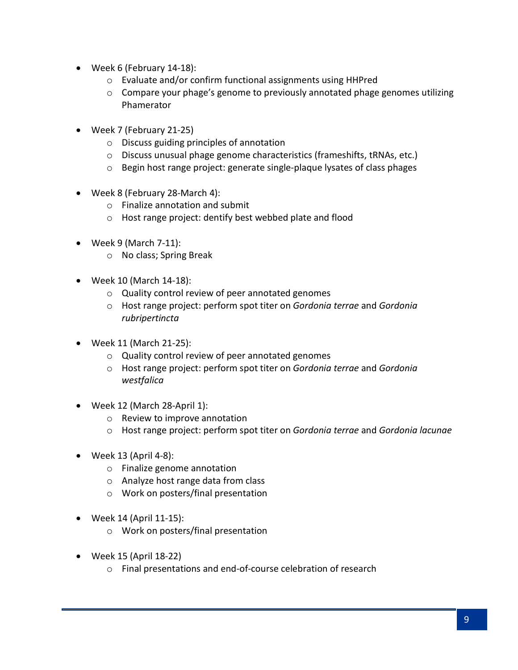- Week 6 (February 14-18):
	- o Evaluate and/or confirm functional assignments using HHPred
	- o Compare your phage's genome to previously annotated phage genomes utilizing Phamerator
- Week 7 (February 21-25)
	- o Discuss guiding principles of annotation
	- o Discuss unusual phage genome characteristics (frameshifts, tRNAs, etc.)
	- o Begin host range project: generate single-plaque lysates of class phages
- Week 8 (February 28-March 4):
	- o Finalize annotation and submit
	- o Host range project: dentify best webbed plate and flood
- Week 9 (March 7-11):
	- o No class; Spring Break
- Week 10 (March 14-18):
	- o Quality control review of peer annotated genomes
	- o Host range project: perform spot titer on *Gordonia terrae* and *Gordonia rubripertincta*
- Week 11 (March 21-25):
	- o Quality control review of peer annotated genomes
	- o Host range project: perform spot titer on *Gordonia terrae* and *Gordonia westfalica*
- Week 12 (March 28-April 1):
	- o Review to improve annotation
	- o Host range project: perform spot titer on *Gordonia terrae* and *Gordonia lacunae*
- $\bullet$  Week 13 (April 4-8):
	- o Finalize genome annotation
	- o Analyze host range data from class
	- o Work on posters/final presentation
- Week 14 (April 11-15):
	- o Work on posters/final presentation
- Week 15 (April 18-22)
	- o Final presentations and end-of-course celebration of research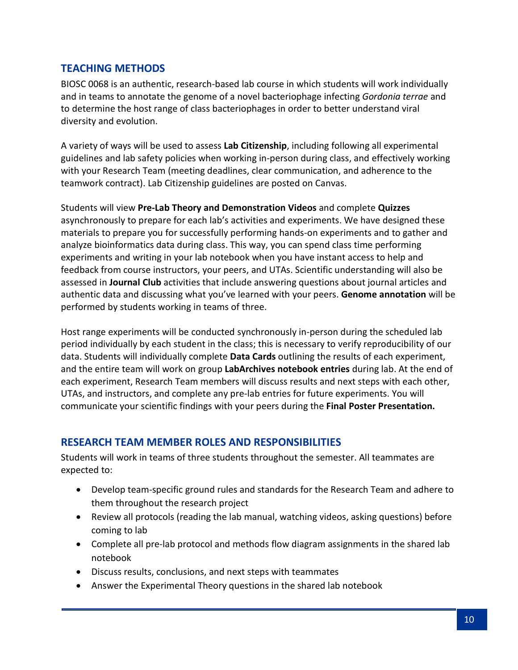## **TEACHING METHODS**

BIOSC 0068 is an authentic, research-based lab course in which students will work individually and in teams to annotate the genome of a novel bacteriophage infecting *Gordonia terrae* and to determine the host range of class bacteriophages in order to better understand viral diversity and evolution.

A variety of ways will be used to assess **Lab Citizenship**, including following all experimental guidelines and lab safety policies when working in-person during class, and effectively working with your Research Team (meeting deadlines, clear communication, and adherence to the teamwork contract). Lab Citizenship guidelines are posted on Canvas.

Students will view **Pre-Lab Theory and Demonstration Videos** and complete **Quizzes**  asynchronously to prepare for each lab's activities and experiments. We have designed these materials to prepare you for successfully performing hands-on experiments and to gather and analyze bioinformatics data during class. This way, you can spend class time performing experiments and writing in your lab notebook when you have instant access to help and feedback from course instructors, your peers, and UTAs. Scientific understanding will also be assessed in **Journal Club** activities that include answering questions about journal articles and authentic data and discussing what you've learned with your peers. **Genome annotation** will be performed by students working in teams of three.

Host range experiments will be conducted synchronously in-person during the scheduled lab period individually by each student in the class; this is necessary to verify reproducibility of our data. Students will individually complete **Data Cards** outlining the results of each experiment, and the entire team will work on group **LabArchives notebook entries** during lab. At the end of each experiment, Research Team members will discuss results and next steps with each other, UTAs, and instructors, and complete any pre-lab entries for future experiments. You will communicate your scientific findings with your peers during the **Final Poster Presentation.**

## **RESEARCH TEAM MEMBER ROLES AND RESPONSIBILITIES**

Students will work in teams of three students throughout the semester. All teammates are expected to:

- Develop team-specific ground rules and standards for the Research Team and adhere to them throughout the research project
- Review all protocols (reading the lab manual, watching videos, asking questions) before coming to lab
- Complete all pre-lab protocol and methods flow diagram assignments in the shared lab notebook
- Discuss results, conclusions, and next steps with teammates
- Answer the Experimental Theory questions in the shared lab notebook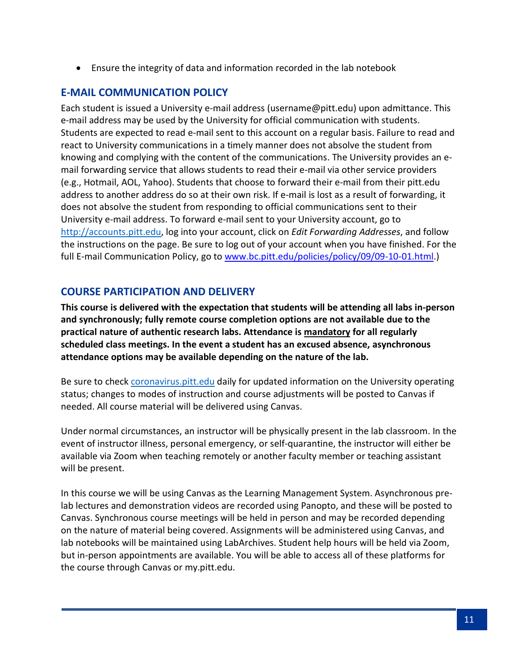• Ensure the integrity of data and information recorded in the lab notebook

## **E-MAIL COMMUNICATION POLICY**

Each student is issued a University e-mail address (username@pitt.edu) upon admittance. This e-mail address may be used by the University for official communication with students. Students are expected to read e-mail sent to this account on a regular basis. Failure to read and react to University communications in a timely manner does not absolve the student from knowing and complying with the content of the communications. The University provides an email forwarding service that allows students to read their e-mail via other service providers (e.g., Hotmail, AOL, Yahoo). Students that choose to forward their e-mail from their pitt.edu address to another address do so at their own risk. If e-mail is lost as a result of forwarding, it does not absolve the student from responding to official communications sent to their University e-mail address. To forward e-mail sent to your University account, go to [http://accounts.pitt.edu,](http://accounts.pitt.edu/) log into your account, click on *Edit Forwarding Addresses*, and follow the instructions on the page. Be sure to log out of your account when you have finished. For the full E-mail Communication Policy, go to [www.bc.pitt.edu/policies/policy/09/09-10-01.html.](http://www.bc.pitt.edu/policies/policy/09/09-10-01.html))

## **COURSE PARTICIPATION AND DELIVERY**

**This course is delivered with the expectation that students will be attending all labs in-person and synchronously; fully remote course completion options are not available due to the practical nature of authentic research labs. Attendance is mandatory for all regularly scheduled class meetings. In the event a student has an excused absence, asynchronous attendance options may be available depending on the nature of the lab.**

Be sure to chec[k coronavirus.pitt.edu](http://coronavirus.pitt.edu/) daily for updated information on the University operating status; changes to modes of instruction and course adjustments will be posted to Canvas if needed. All course material will be delivered using Canvas.

Under normal circumstances, an instructor will be physically present in the lab classroom. In the event of instructor illness, personal emergency, or self-quarantine, the instructor will either be available via Zoom when teaching remotely or another faculty member or teaching assistant will be present.

In this course we will be using Canvas as the Learning Management System. Asynchronous prelab lectures and demonstration videos are recorded using Panopto, and these will be posted to Canvas. Synchronous course meetings will be held in person and may be recorded depending on the nature of material being covered. Assignments will be administered using Canvas, and lab notebooks will be maintained using LabArchives. Student help hours will be held via Zoom, but in-person appointments are available. You will be able to access all of these platforms for the course through Canvas or my.pitt.edu.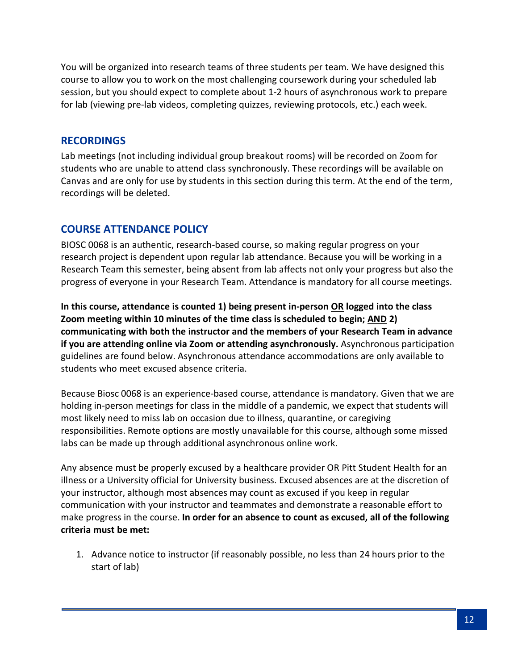You will be organized into research teams of three students per team. We have designed this course to allow you to work on the most challenging coursework during your scheduled lab session, but you should expect to complete about 1-2 hours of asynchronous work to prepare for lab (viewing pre-lab videos, completing quizzes, reviewing protocols, etc.) each week.

#### **RECORDINGS**

Lab meetings (not including individual group breakout rooms) will be recorded on Zoom for students who are unable to attend class synchronously. These recordings will be available on Canvas and are only for use by students in this section during this term. At the end of the term, recordings will be deleted.

## **COURSE ATTENDANCE POLICY**

BIOSC 0068 is an authentic, research-based course, so making regular progress on your research project is dependent upon regular lab attendance. Because you will be working in a Research Team this semester, being absent from lab affects not only your progress but also the progress of everyone in your Research Team. Attendance is mandatory for all course meetings.

**In this course, attendance is counted 1) being present in-person OR logged into the class Zoom meeting within 10 minutes of the time class is scheduled to begin; AND 2) communicating with both the instructor and the members of your Research Team in advance if you are attending online via Zoom or attending asynchronously.** Asynchronous participation guidelines are found below. Asynchronous attendance accommodations are only available to students who meet excused absence criteria.

Because Biosc 0068 is an experience-based course, attendance is mandatory. Given that we are holding in-person meetings for class in the middle of a pandemic, we expect that students will most likely need to miss lab on occasion due to illness, quarantine, or caregiving responsibilities. Remote options are mostly unavailable for this course, although some missed labs can be made up through additional asynchronous online work.

Any absence must be properly excused by a healthcare provider OR Pitt Student Health for an illness or a University official for University business. Excused absences are at the discretion of your instructor, although most absences may count as excused if you keep in regular communication with your instructor and teammates and demonstrate a reasonable effort to make progress in the course. **In order for an absence to count as excused, all of the following criteria must be met:**

1. Advance notice to instructor (if reasonably possible, no less than 24 hours prior to the start of lab)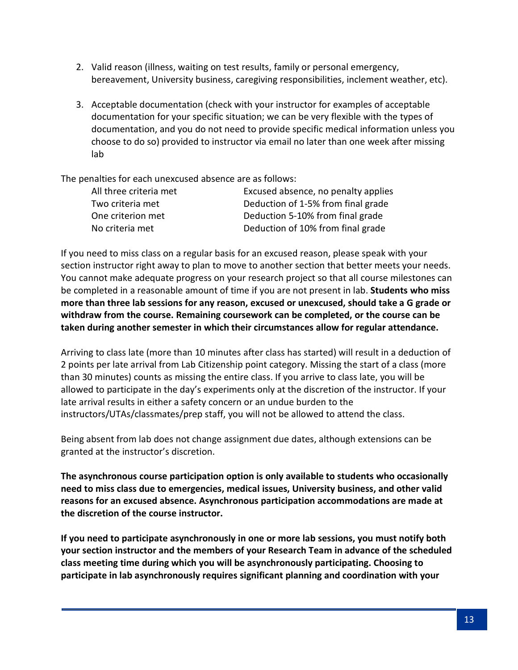- 2. Valid reason (illness, waiting on test results, family or personal emergency, bereavement, University business, caregiving responsibilities, inclement weather, etc).
- 3. Acceptable documentation (check with your instructor for examples of acceptable documentation for your specific situation; we can be very flexible with the types of documentation, and you do not need to provide specific medical information unless you choose to do so) provided to instructor via email no later than one week after missing lab

The penalties for each unexcused absence are as follows:

| All three criteria met | Excused absence, no penalty applies |
|------------------------|-------------------------------------|
| Two criteria met       | Deduction of 1-5% from final grade  |
| One criterion met      | Deduction 5-10% from final grade    |
| No criteria met        | Deduction of 10% from final grade   |

If you need to miss class on a regular basis for an excused reason, please speak with your section instructor right away to plan to move to another section that better meets your needs. You cannot make adequate progress on your research project so that all course milestones can be completed in a reasonable amount of time if you are not present in lab. **Students who miss more than three lab sessions for any reason, excused or unexcused, should take a G grade or withdraw from the course. Remaining coursework can be completed, or the course can be taken during another semester in which their circumstances allow for regular attendance.** 

Arriving to class late (more than 10 minutes after class has started) will result in a deduction of 2 points per late arrival from Lab Citizenship point category. Missing the start of a class (more than 30 minutes) counts as missing the entire class. If you arrive to class late, you will be allowed to participate in the day's experiments only at the discretion of the instructor. If your late arrival results in either a safety concern or an undue burden to the instructors/UTAs/classmates/prep staff, you will not be allowed to attend the class.

Being absent from lab does not change assignment due dates, although extensions can be granted at the instructor's discretion.

**The asynchronous course participation option is only available to students who occasionally need to miss class due to emergencies, medical issues, University business, and other valid reasons for an excused absence. Asynchronous participation accommodations are made at the discretion of the course instructor.** 

**If you need to participate asynchronously in one or more lab sessions, you must notify both your section instructor and the members of your Research Team in advance of the scheduled class meeting time during which you will be asynchronously participating. Choosing to participate in lab asynchronously requires significant planning and coordination with your**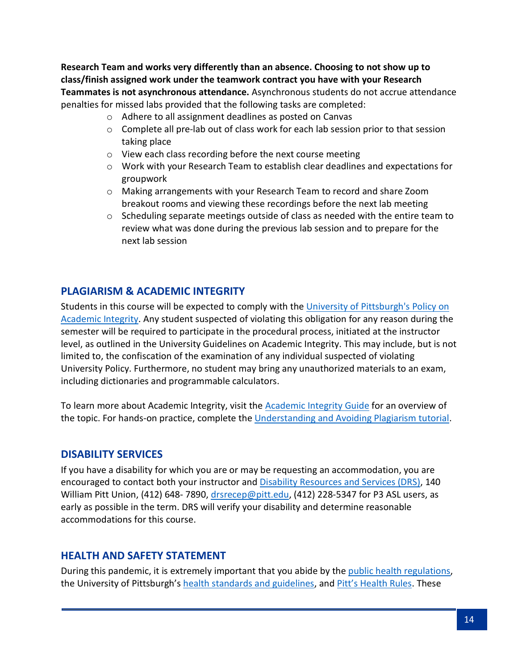**Research Team and works very differently than an absence. Choosing to not show up to class/finish assigned work under the teamwork contract you have with your Research Teammates is not asynchronous attendance.** Asynchronous students do not accrue attendance penalties for missed labs provided that the following tasks are completed:

- o Adhere to all assignment deadlines as posted on Canvas
- $\circ$  Complete all pre-lab out of class work for each lab session prior to that session taking place
- o View each class recording before the next course meeting
- $\circ$  Work with your Research Team to establish clear deadlines and expectations for groupwork
- o Making arrangements with your Research Team to record and share Zoom breakout rooms and viewing these recordings before the next lab meeting
- $\circ$  Scheduling separate meetings outside of class as needed with the entire team to review what was done during the previous lab session and to prepare for the next lab session

## **PLAGIARISM & ACADEMIC INTEGRITY**

Students in this course will be expected to comply with the University of Pittsburgh's Policy on [Academic Integrity.](http://www.cfo.pitt.edu/policies/policy/02/02-03-02.html) Any student suspected of violating this obligation for any reason during the semester will be required to participate in the procedural process, initiated at the instructor level, as outlined in the University Guidelines on Academic Integrity. This may include, but is not limited to, the confiscation of the examination of any individual suspected of violating University Policy. Furthermore, no student may bring any unauthorized materials to an exam, including dictionaries and programmable calculators.

To learn more about Academic Integrity, visit the [Academic Integrity Guide](http://pitt.libguides.com/academicintegrity/) for an overview of the topic. For hands-on practice, complete the [Understanding and Avoiding Plagiarism tutorial.](https://bts.library.pitt.edu/eLearning/Captivate/Understanding_Avoiding_Plagiarism/multiscreen.html)

#### **DISABILITY SERVICES**

If you have a disability for which you are or may be requesting an accommodation, you are encouraged to contact both your instructor and [Disability Resources and Services \(DRS\),](https://www.studentaffairs.pitt.edu/drs/) 140 William Pitt Union, (412) 648-7890, [drsrecep@pitt.edu,](mailto:drsrecep@pitt.edu) (412) 228-5347 for P3 ASL users, as early as possible in the term. DRS will verify your disability and determine reasonable accommodations for this course.

## **HEALTH AND SAFETY STATEMENT**

During this pandemic, it is extremely important that you abide by the [public health regulations,](https://www.alleghenycounty.us/Health-Department/Resources/COVID-19/COVID-19.aspx) the University of Pittsburgh's [health standards and guidelines,](https://www.policy.pitt.edu/university-policies-and-procedures/covid-19-standards-and-guidelines) and [Pitt's Health Rules.](https://www.coronavirus.pitt.edu/healthy-community/pitts-health-rules) These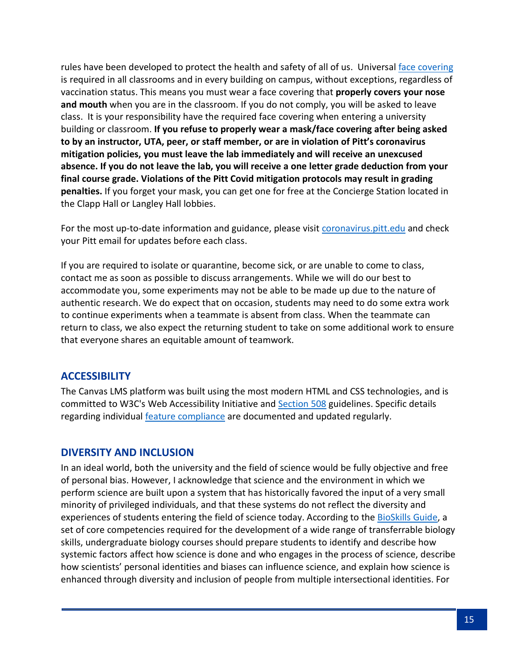rules have been developed to protect the health and safety of all of us. Universal [face covering](https://www.coronavirus.pitt.edu/frequently-asked-questions-about-face-coverings) is required in all classrooms and in every building on campus, without exceptions, regardless of vaccination status. This means you must wear a face covering that **properly covers your nose and mouth** when you are in the classroom. If you do not comply, you will be asked to leave class. It is your responsibility have the required face covering when entering a university building or classroom. **If you refuse to properly wear a mask/face covering after being asked to by an instructor, UTA, peer, or staff member, or are in violation of Pitt's coronavirus mitigation policies, you must leave the lab immediately and will receive an unexcused absence. If you do not leave the lab, you will receive a one letter grade deduction from your final course grade. Violations of the Pitt Covid mitigation protocols may result in grading penalties.** If you forget your mask, you can get one for free at the Concierge Station located in the Clapp Hall or Langley Hall lobbies.

For the most up-to-date information and guidance, please visit [coronavirus.pitt.edu](https://www.coronavirus.pitt.edu/) and check your Pitt email for updates before each class.

If you are required to isolate or quarantine, become sick, or are unable to come to class, contact me as soon as possible to discuss arrangements. While we will do our best to accommodate you, some experiments may not be able to be made up due to the nature of authentic research. We do expect that on occasion, students may need to do some extra work to continue experiments when a teammate is absent from class. When the teammate can return to class, we also expect the returning student to take on some additional work to ensure that everyone shares an equitable amount of teamwork.

## **ACCESSIBILITY**

The Canvas LMS platform was built using the most modern HTML and CSS technologies, and is committed to W3C's Web Accessibility Initiative and [Section 508](https://www.section508.gov/) guidelines. Specific details regarding individual [feature compliance](https://community.canvaslms.com/docs/DOC-2061-accessibility-within-canvas) are documented and updated regularly.

#### **DIVERSITY AND INCLUSION**

In an ideal world, both the university and the field of science would be fully objective and free of personal bias. However, I acknowledge that science and the environment in which we perform science are built upon a system that has historically favored the input of a very small minority of privileged individuals, and that these systems do not reflect the diversity and experiences of students entering the field of science today. According to the [BioSkills Guide,](https://qubeshub.org/publications/1305/5) a set of core competencies required for the development of a wide range of transferrable biology skills, undergraduate biology courses should prepare students to identify and describe how systemic factors affect how science is done and who engages in the process of science, describe how scientists' personal identities and biases can influence science, and explain how science is enhanced through diversity and inclusion of people from multiple intersectional identities. For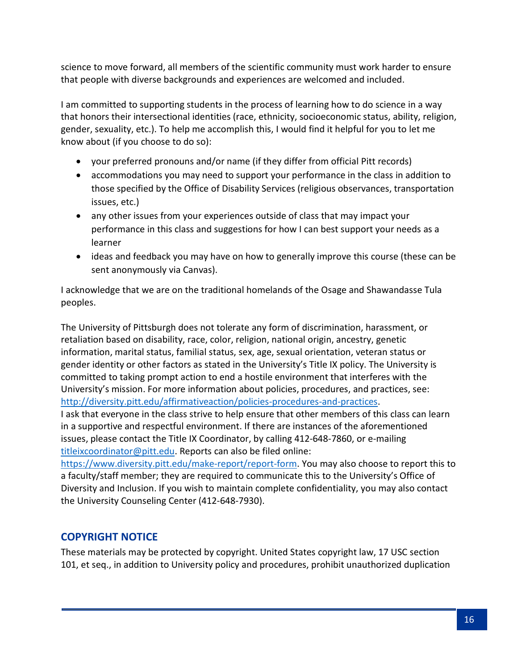science to move forward, all members of the scientific community must work harder to ensure that people with diverse backgrounds and experiences are welcomed and included.

I am committed to supporting students in the process of learning how to do science in a way that honors their intersectional identities (race, ethnicity, socioeconomic status, ability, religion, gender, sexuality, etc.). To help me accomplish this, I would find it helpful for you to let me know about (if you choose to do so):

- your preferred pronouns and/or name (if they differ from official Pitt records)
- accommodations you may need to support your performance in the class in addition to those specified by the Office of Disability Services (religious observances, transportation issues, etc.)
- any other issues from your experiences outside of class that may impact your performance in this class and suggestions for how I can best support your needs as a learner
- ideas and feedback you may have on how to generally improve this course (these can be sent anonymously via Canvas).

I acknowledge that we are on the traditional homelands of the Osage and Shawandasse Tula peoples.

The University of Pittsburgh does not tolerate any form of discrimination, harassment, or retaliation based on disability, race, color, religion, national origin, ancestry, genetic information, marital status, familial status, sex, age, sexual orientation, veteran status or gender identity or other factors as stated in the University's Title IX policy. The University is committed to taking prompt action to end a hostile environment that interferes with the University's mission. For more information about policies, procedures, and practices, see: [http://diversity.pitt.edu/affirmativeaction/policies-procedures-and-practices.](http://diversity.pitt.edu/affirmativeaction/policies-procedures-and-practices) I ask that everyone in the class strive to help ensure that other members of this class can learn in a supportive and respectful environment. If there are instances of the aforementioned issues, please contact the Title IX Coordinator, by calling 412-648-7860, or e-mailing [titleixcoordinator@pitt.edu.](mailto:titleixcoordinator@pitt.edu) Reports can also be filed online:

[https://www.diversity.pitt.edu/make-report/report-form.](https://www.diversity.pitt.edu/make-report/report-form) You may also choose to report this to a faculty/staff member; they are required to communicate this to the University's Office of Diversity and Inclusion. If you wish to maintain complete confidentiality, you may also contact the University Counseling Center (412-648-7930).

# **COPYRIGHT NOTICE**

These materials may be protected by copyright. United States copyright law, 17 USC section 101, et seq., in addition to University policy and procedures, prohibit unauthorized duplication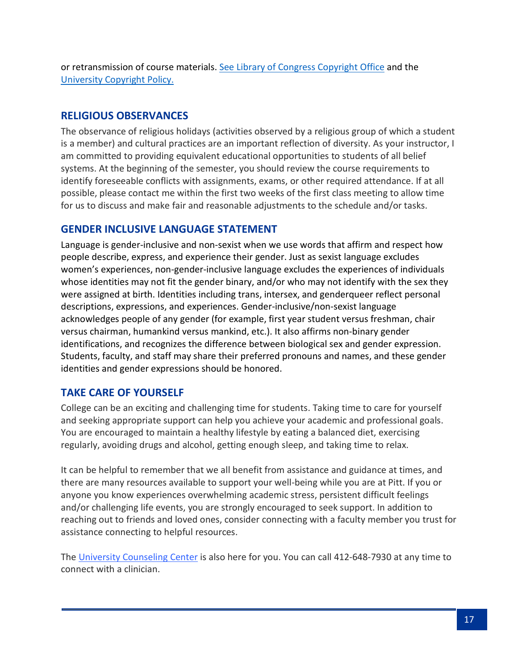or retransmission of course materials. See [Library of Congress Copyright Office](http://www.copyright.gov/) and the [University Copyright Policy.](http://www.library.pitt.edu/copyright-pitt)

## **RELIGIOUS OBSERVANCES**

The observance of religious holidays (activities observed by a religious group of which a student is a member) and cultural practices are an important reflection of diversity. As your instructor, I am committed to providing equivalent educational opportunities to students of all belief systems. At the beginning of the semester, you should review the course requirements to identify foreseeable conflicts with assignments, exams, or other required attendance. If at all possible, please contact me within the first two weeks of the first class meeting to allow time for us to discuss and make fair and reasonable adjustments to the schedule and/or tasks.

## **GENDER INCLUSIVE LANGUAGE STATEMENT**

Language is gender-inclusive and non-sexist when we use words that affirm and respect how people describe, express, and experience their gender. Just as sexist language excludes women's experiences, non-gender-inclusive language excludes the experiences of individuals whose identities may not fit the gender binary, and/or who may not identify with the sex they were assigned at birth. Identities including trans, intersex, and genderqueer reflect personal descriptions, expressions, and experiences. Gender-inclusive/non-sexist language acknowledges people of any gender (for example, first year student versus freshman, chair versus chairman, humankind versus mankind, etc.). It also affirms non-binary gender identifications, and recognizes the difference between biological sex and gender expression. Students, faculty, and staff may share their preferred pronouns and names, and these gender identities and gender expressions should be honored.

## **TAKE CARE OF YOURSELF**

College can be an exciting and challenging time for students. Taking time to care for yourself and seeking appropriate support can help you achieve your academic and professional goals. You are encouraged to maintain a healthy lifestyle by eating a balanced diet, exercising regularly, avoiding drugs and alcohol, getting enough sleep, and taking time to relax.

It can be helpful to remember that we all benefit from assistance and guidance at times, and there are many resources available to support your well-being while you are at Pitt. If you or anyone you know experiences overwhelming academic stress, persistent difficult feelings and/or challenging life events, you are strongly encouraged to seek support. In addition to reaching out to friends and loved ones, consider connecting with a faculty member you trust for assistance connecting to helpful resources.

The [University Counseling Center](http://www.counseling.pitt.edu/) is also here for you. You can call 412-648-7930 at any time to connect with a clinician.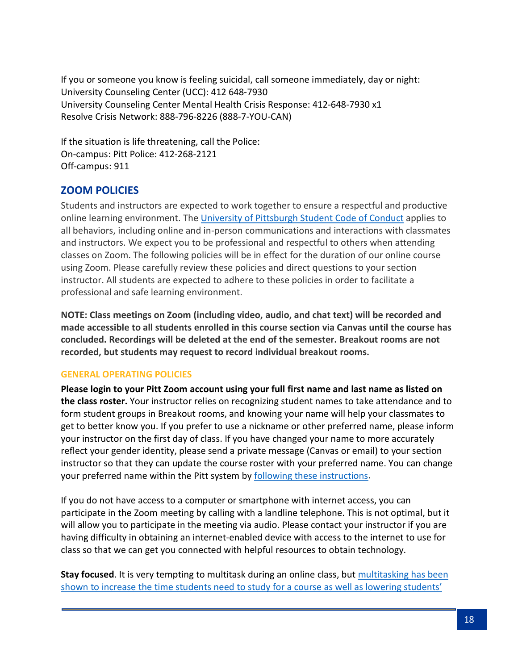If you or someone you know is feeling suicidal, call someone immediately, day or night: University Counseling Center (UCC): 412 648-7930 University Counseling Center Mental Health Crisis Response: 412-648-7930 x1 Resolve Crisis Network: 888-796-8226 (888-7-YOU-CAN)

If the situation is life threatening, call the Police: On-campus: Pitt Police: 412-268-2121 Off-campus: 911

## **ZOOM POLICIES**

Students and instructors are expected to work together to ensure a respectful and productive online learning environment. The [University of Pittsburgh Student Code of Conduct](http://www.studentaffairs.pitt.edu/wp-content/uploads/2019/10/Revisions_for_2019_October-16-2019.pdf) applies to all behaviors, including online and in-person communications and interactions with classmates and instructors. We expect you to be professional and respectful to others when attending classes on Zoom. The following policies will be in effect for the duration of our online course using Zoom. Please carefully review these policies and direct questions to your section instructor. All students are expected to adhere to these policies in order to facilitate a professional and safe learning environment.

**NOTE: Class meetings on Zoom (including video, audio, and chat text) will be recorded and made accessible to all students enrolled in this course section via Canvas until the course has concluded. Recordings will be deleted at the end of the semester. Breakout rooms are not recorded, but students may request to record individual breakout rooms.**

#### **GENERAL OPERATING POLICIES**

**Please login to your Pitt Zoom account using your full first name and last name as listed on the class roster.** Your instructor relies on recognizing student names to take attendance and to form student groups in Breakout rooms, and knowing your name will help your classmates to get to better know you. If you prefer to use a nickname or other preferred name, please inform your instructor on the first day of class. If you have changed your name to more accurately reflect your gender identity, please send a private message (Canvas or email) to your section instructor so that they can update the course roster with your preferred name. You can change your preferred name within the Pitt system by [following these instructions.](https://www.registrar.pitt.edu/assets/pdf/Preferred%20Name%20Announcement.pdf)

If you do not have access to a computer or smartphone with internet access, you can participate in the Zoom meeting by calling with a landline telephone. This is not optimal, but it will allow you to participate in the meeting via audio. Please contact your instructor if you are having difficulty in obtaining an internet-enabled device with access to the internet to use for class so that we can get you connected with helpful resources to obtain technology.

**Stay focused**. It is very tempting to multitask during an online class, but multitasking has been shown to increase the time [students need to study for a course as well as lowering students'](https://today.uconn.edu/2015/07/multitasking-increases-study-time-lowers-grades/)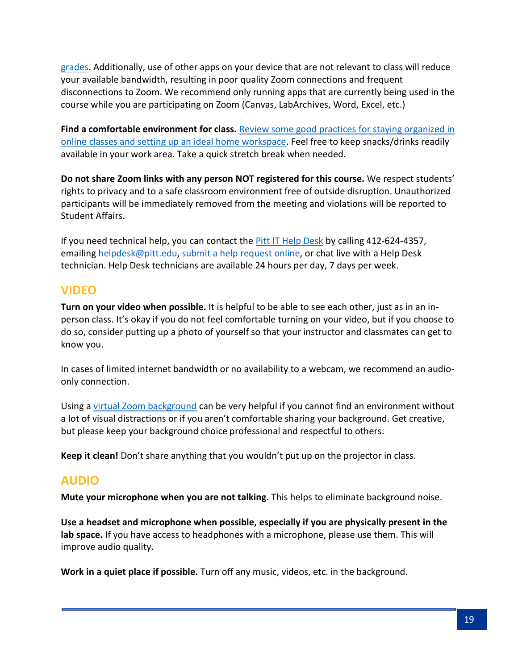[grades.](https://today.uconn.edu/2015/07/multitasking-increases-study-time-lowers-grades/) Additionally, use of other apps on your device that are not relevant to class will reduce your available bandwidth, resulting in poor quality Zoom connections and frequent disconnections to Zoom. We recommend only running apps that are currently being used in the course while you are participating on Zoom (Canvas, LabArchives, Word, Excel, etc.)

**Find a comfortable environment for class.** [Review some good practices for staying organized in](https://www.utep.edu/extendeduniversity/utepconnect/blog/april-2017/7-ways-to-organize-your-study-space-for-success.html)  [online classes and setting up an ideal home workspace.](https://www.utep.edu/extendeduniversity/utepconnect/blog/april-2017/7-ways-to-organize-your-study-space-for-success.html) Feel free to keep snacks/drinks readily available in your work area. Take a quick stretch break when needed.

**Do not share Zoom links with any person NOT registered for this course.** We respect students' rights to privacy and to a safe classroom environment free of outside disruption. Unauthorized participants will be immediately removed from the meeting and violations will be reported to Student Affairs.

If you need technical help, you can contact the **Pitt IT Help Desk by calling 412-624-4357**, emailing [helpdesk@pitt.edu,](mailto:helpdesk@pitt.edu) [submit a help request online,](https://pitt.secure.force.com/ERMServiceDesk/FormCSSDServiceRequest) or chat live with a Help Desk technician. Help Desk technicians are available 24 hours per day, 7 days per week.

# **VIDEO**

**Turn on your video when possible.** It is helpful to be able to see each other, just as in an inperson class. It's okay if you do not feel comfortable turning on your video, but if you choose to do so, consider putting up a photo of yourself so that your instructor and classmates can get to know you.

In cases of limited internet bandwidth or no availability to a webcam, we recommend an audioonly connection.

Using a [virtual Zoom background](https://support.zoom.us/hc/en-us/articles/210707503-Virtual-Background) can be very helpful if you cannot find an environment without a lot of visual distractions or if you aren't comfortable sharing your background. Get creative, but please keep your background choice professional and respectful to others.

**Keep it clean!** Don't share anything that you wouldn't put up on the projector in class.

# **AUDIO**

**Mute your microphone when you are not talking.** This helps to eliminate background noise.

**Use a headset and microphone when possible, especially if you are physically present in the lab space.** If you have access to headphones with a microphone, please use them. This will improve audio quality.

**Work in a quiet place if possible.** Turn off any music, videos, etc. in the background.